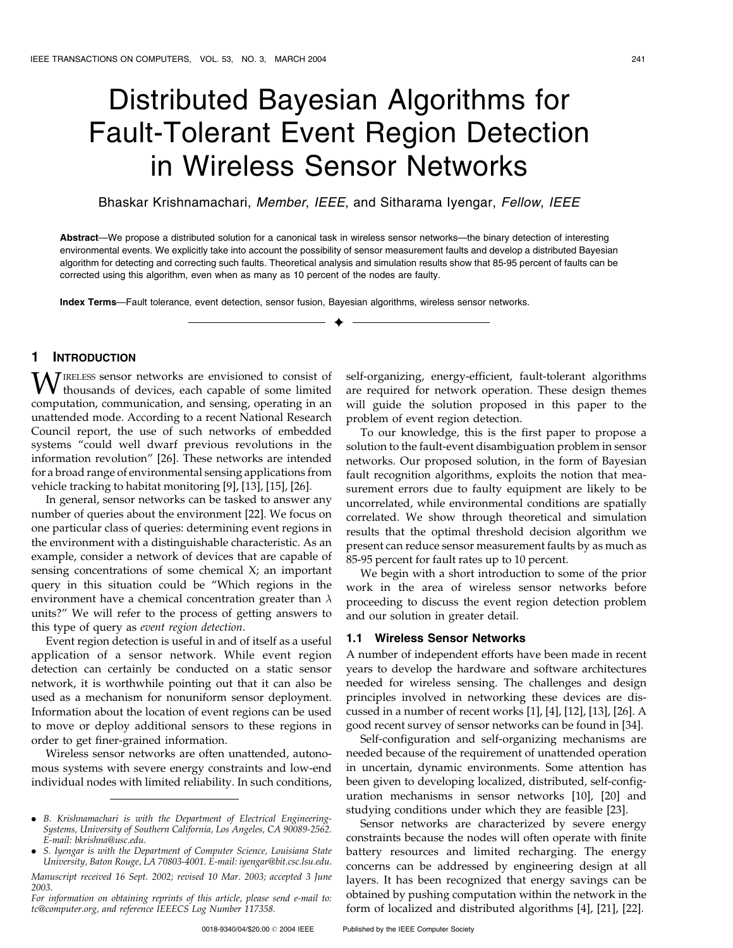# Distributed Bayesian Algorithms for Fault-Tolerant Event Region Detection in Wireless Sensor Networks

Bhaskar Krishnamachari, Member, IEEE, and Sitharama Iyengar, Fellow, IEEE

Abstract—We propose a distributed solution for a canonical task in wireless sensor networks—the binary detection of interesting environmental events. We explicitly take into account the possibility of sensor measurement faults and develop a distributed Bayesian algorithm for detecting and correcting such faults. Theoretical analysis and simulation results show that 85-95 percent of faults can be corrected using this algorithm, even when as many as 10 percent of the nodes are faulty.

 $\ddotmark$ 

Index Terms—Fault tolerance, event detection, sensor fusion, Bayesian algorithms, wireless sensor networks.

## 1 INTRODUCTION

WIRELESS sensor networks are envisioned to consist of thousands of devices, each capable of some limited computation, communication, and sensing, operating in an unattended mode. According to a recent National Research Council report, the use of such networks of embedded systems "could well dwarf previous revolutions in the information revolution" [26]. These networks are intended for a broad range of environmental sensing applications from vehicle tracking to habitat monitoring [9], [13], [15], [26].

In general, sensor networks can be tasked to answer any number of queries about the environment [22]. We focus on one particular class of queries: determining event regions in the environment with a distinguishable characteristic. As an example, consider a network of devices that are capable of sensing concentrations of some chemical X; an important query in this situation could be "Which regions in the environment have a chemical concentration greater than  $\lambda$ units?" We will refer to the process of getting answers to this type of query as event region detection.

Event region detection is useful in and of itself as a useful application of a sensor network. While event region detection can certainly be conducted on a static sensor network, it is worthwhile pointing out that it can also be used as a mechanism for nonuniform sensor deployment. Information about the location of event regions can be used to move or deploy additional sensors to these regions in order to get finer-grained information.

Wireless sensor networks are often unattended, autonomous systems with severe energy constraints and low-end individual nodes with limited reliability. In such conditions, self-organizing, energy-efficient, fault-tolerant algorithms are required for network operation. These design themes will guide the solution proposed in this paper to the problem of event region detection.

To our knowledge, this is the first paper to propose a solution to the fault-event disambiguation problem in sensor networks. Our proposed solution, in the form of Bayesian fault recognition algorithms, exploits the notion that measurement errors due to faulty equipment are likely to be uncorrelated, while environmental conditions are spatially correlated. We show through theoretical and simulation results that the optimal threshold decision algorithm we present can reduce sensor measurement faults by as much as 85-95 percent for fault rates up to 10 percent.

We begin with a short introduction to some of the prior work in the area of wireless sensor networks before proceeding to discuss the event region detection problem and our solution in greater detail.

## 1.1 Wireless Sensor Networks

A number of independent efforts have been made in recent years to develop the hardware and software architectures needed for wireless sensing. The challenges and design principles involved in networking these devices are discussed in a number of recent works [1], [4], [12], [13], [26]. A good recent survey of sensor networks can be found in [34].

Self-configuration and self-organizing mechanisms are needed because of the requirement of unattended operation in uncertain, dynamic environments. Some attention has been given to developing localized, distributed, self-configuration mechanisms in sensor networks [10], [20] and studying conditions under which they are feasible [23].

Sensor networks are characterized by severe energy constraints because the nodes will often operate with finite battery resources and limited recharging. The energy concerns can be addressed by engineering design at all layers. It has been recognized that energy savings can be obtained by pushing computation within the network in the form of localized and distributed algorithms [4], [21], [22].

<sup>.</sup> B. Krishnamachari is with the Department of Electrical Engineering-Systems, University of Southern California, Los Angeles, CA 90089-2562. E-mail: bkrishna@usc.edu.

<sup>.</sup> S. Iyengar is with the Department of Computer Science, Louisiana State University, Baton Rouge, LA 70803-4001. E-mail: iyengar@bit.csc.lsu.edu.

Manuscript received 16 Sept. 2002; revised 10 Mar. 2003; accepted 3 June 2003.

For information on obtaining reprints of this article, please send e-mail to: tc@computer.org, and reference IEEECS Log Number 117358.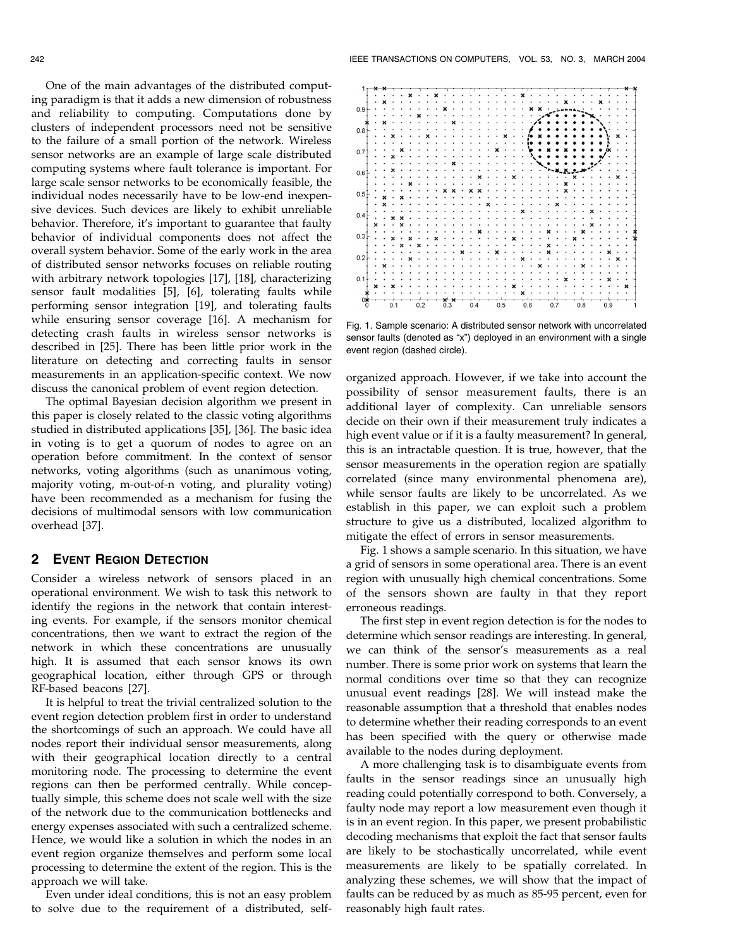One of the main advantages of the distributed computing paradigm is that it adds a new dimension of robustness and reliability to computing. Computations done by clusters of independent processors need not be sensitive to the failure of a small portion of the network. Wireless sensor networks are an example of large scale distributed computing systems where fault tolerance is important. For large scale sensor networks to be economically feasible, the individual nodes necessarily have to be low-end inexpensive devices. Such devices are likely to exhibit unreliable behavior. Therefore, it's important to guarantee that faulty behavior of individual components does not affect the overall system behavior. Some of the early work in the area of distributed sensor networks focuses on reliable routing with arbitrary network topologies [17], [18], characterizing sensor fault modalities [5], [6], tolerating faults while performing sensor integration [19], and tolerating faults while ensuring sensor coverage [16]. A mechanism for detecting crash faults in wireless sensor networks is described in [25]. There has been little prior work in the literature on detecting and correcting faults in sensor measurements in an application-specific context. We now discuss the canonical problem of event region detection.

The optimal Bayesian decision algorithm we present in this paper is closely related to the classic voting algorithms studied in distributed applications [35], [36]. The basic idea in voting is to get a quorum of nodes to agree on an operation before commitment. In the context of sensor networks, voting algorithms (such as unanimous voting, majority voting, m-out-of-n voting, and plurality voting) have been recommended as a mechanism for fusing the decisions of multimodal sensors with low communication overhead [37].

#### 2 EVENT REGION DETECTION

Consider a wireless network of sensors placed in an operational environment. We wish to task this network to identify the regions in the network that contain interesting events. For example, if the sensors monitor chemical concentrations, then we want to extract the region of the network in which these concentrations are unusually high. It is assumed that each sensor knows its own geographical location, either through GPS or through RF-based beacons [27].

It is helpful to treat the trivial centralized solution to the event region detection problem first in order to understand the shortcomings of such an approach. We could have all nodes report their individual sensor measurements, along with their geographical location directly to a central monitoring node. The processing to determine the event regions can then be performed centrally. While conceptually simple, this scheme does not scale well with the size of the network due to the communication bottlenecks and energy expenses associated with such a centralized scheme. Hence, we would like a solution in which the nodes in an event region organize themselves and perform some local processing to determine the extent of the region. This is the approach we will take.

Even under ideal conditions, this is not an easy problem to solve due to the requirement of a distributed, self-



Fig. 1. Sample scenario: A distributed sensor network with uncorrelated sensor faults (denoted as "x") deployed in an environment with a single event region (dashed circle).

organized approach. However, if we take into account the possibility of sensor measurement faults, there is an additional layer of complexity. Can unreliable sensors decide on their own if their measurement truly indicates a high event value or if it is a faulty measurement? In general, this is an intractable question. It is true, however, that the sensor measurements in the operation region are spatially correlated (since many environmental phenomena are), while sensor faults are likely to be uncorrelated. As we establish in this paper, we can exploit such a problem structure to give us a distributed, localized algorithm to mitigate the effect of errors in sensor measurements.

Fig. 1 shows a sample scenario. In this situation, we have a grid of sensors in some operational area. There is an event region with unusually high chemical concentrations. Some of the sensors shown are faulty in that they report erroneous readings.

The first step in event region detection is for the nodes to determine which sensor readings are interesting. In general, we can think of the sensor's measurements as a real number. There is some prior work on systems that learn the normal conditions over time so that they can recognize unusual event readings [28]. We will instead make the reasonable assumption that a threshold that enables nodes to determine whether their reading corresponds to an event has been specified with the query or otherwise made available to the nodes during deployment.

A more challenging task is to disambiguate events from faults in the sensor readings since an unusually high reading could potentially correspond to both. Conversely, a faulty node may report a low measurement even though it is in an event region. In this paper, we present probabilistic decoding mechanisms that exploit the fact that sensor faults are likely to be stochastically uncorrelated, while event measurements are likely to be spatially correlated. In analyzing these schemes, we will show that the impact of faults can be reduced by as much as 85-95 percent, even for reasonably high fault rates.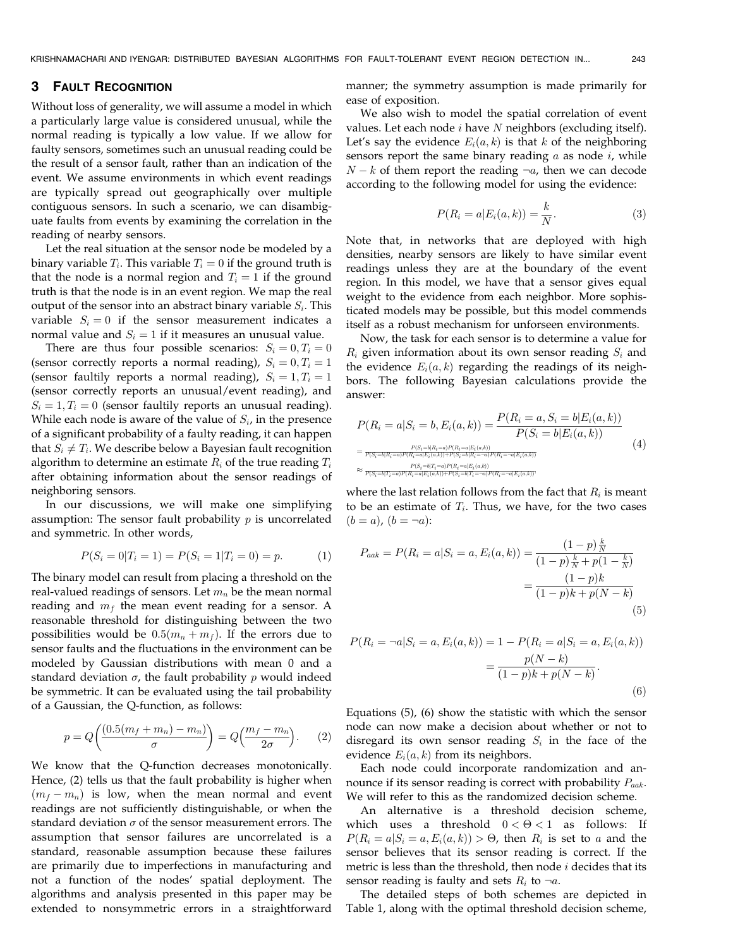# 3 FAULT RECOGNITION

Without loss of generality, we will assume a model in which a particularly large value is considered unusual, while the normal reading is typically a low value. If we allow for faulty sensors, sometimes such an unusual reading could be the result of a sensor fault, rather than an indication of the event. We assume environments in which event readings are typically spread out geographically over multiple contiguous sensors. In such a scenario, we can disambiguate faults from events by examining the correlation in the reading of nearby sensors.

Let the real situation at the sensor node be modeled by a binary variable  $T_i$ . This variable  $T_i = 0$  if the ground truth is that the node is a normal region and  $T_i = 1$  if the ground truth is that the node is in an event region. We map the real output of the sensor into an abstract binary variable  $S_i$ . This variable  $S_i = 0$  if the sensor measurement indicates a normal value and  $S_i = 1$  if it measures an unusual value.

There are thus four possible scenarios:  $S_i = 0, T_i = 0$ (sensor correctly reports a normal reading),  $S_i = 0, T_i = 1$ (sensor faultily reports a normal reading),  $S_i = 1, T_i = 1$ (sensor correctly reports an unusual/event reading), and  $S_i = 1, T_i = 0$  (sensor faultily reports an unusual reading). While each node is aware of the value of  $S_i$ , in the presence of a significant probability of a faulty reading, it can happen that  $S_i \neq T_i$ . We describe below a Bayesian fault recognition algorithm to determine an estimate  $R_i$  of the true reading  $T_i$ after obtaining information about the sensor readings of neighboring sensors.

In our discussions, we will make one simplifying assumption: The sensor fault probability  $p$  is uncorrelated and symmetric. In other words,

$$
P(S_i = 0 | T_i = 1) = P(S_i = 1 | T_i = 0) = p.
$$
 (1)

The binary model can result from placing a threshold on the real-valued readings of sensors. Let  $m_n$  be the mean normal reading and  $m_f$  the mean event reading for a sensor. A reasonable threshold for distinguishing between the two possibilities would be  $0.5(m_n + m_f)$ . If the errors due to sensor faults and the fluctuations in the environment can be modeled by Gaussian distributions with mean 0 and a standard deviation  $\sigma$ , the fault probability  $p$  would indeed be symmetric. It can be evaluated using the tail probability of a Gaussian, the Q-function, as follows:

$$
p = Q\left(\frac{(0.5(m_f + m_n) - m_n)}{\sigma}\right) = Q\left(\frac{m_f - m_n}{2\sigma}\right). \tag{2}
$$

We know that the Q-function decreases monotonically. Hence, (2) tells us that the fault probability is higher when  $(m_f - m_n)$  is low, when the mean normal and event readings are not sufficiently distinguishable, or when the standard deviation  $\sigma$  of the sensor measurement errors. The assumption that sensor failures are uncorrelated is a standard, reasonable assumption because these failures are primarily due to imperfections in manufacturing and not a function of the nodes' spatial deployment. The algorithms and analysis presented in this paper may be extended to nonsymmetric errors in a straightforward

manner; the symmetry assumption is made primarily for ease of exposition.

We also wish to model the spatial correlation of event values. Let each node  $i$  have  $N$  neighbors (excluding itself). Let's say the evidence  $E_i(a, k)$  is that k of the neighboring sensors report the same binary reading  $a$  as node  $i$ , while  $N - k$  of them report the reading  $\neg a$ , then we can decode according to the following model for using the evidence:

$$
P(R_i = a | E_i(a, k)) = \frac{k}{N}.
$$
\n(3)

Note that, in networks that are deployed with high densities, nearby sensors are likely to have similar event readings unless they are at the boundary of the event region. In this model, we have that a sensor gives equal weight to the evidence from each neighbor. More sophisticated models may be possible, but this model commends itself as a robust mechanism for unforseen environments.

Now, the task for each sensor is to determine a value for  $R_i$  given information about its own sensor reading  $S_i$  and the evidence  $E_i(a, k)$  regarding the readings of its neighbors. The following Bayesian calculations provide the answer:

$$
P(R_i = a | S_i = b, E_i(a, k)) = \frac{P(R_i = a, S_i = b | E_i(a, k))}{P(S_i = b | E_i(a, k))}
$$
  
= 
$$
\frac{P(S_i = b | R_i = a) P(R_i = a | E_i(a, k))}{P(S_i = b | E_i(a, k)) + P(S_i = b | R_i = a) P(R_i = a | E_i(a, k))}
$$
  
\$\approx \frac{P(S\_i = b | R\_i = a) P(R\_i = a | E\_i(a, k)) + P(S\_i = b | R\_i = a | E\_i(a, k)) + P(S\_i = b | T\_i = a) P(R\_i = a | E\_i(a, k))},\  
(4)

where the last relation follows from the fact that  $R_i$  is meant to be an estimate of  $T_i$ . Thus, we have, for the two cases  $(b = a), (b = \neg a)$ :

$$
P_{aak} = P(R_i = a | S_i = a, E_i(a, k)) = \frac{(1-p)\frac{k}{N}}{(1-p)\frac{k}{N} + p(1-\frac{k}{N})}
$$

$$
= \frac{(1-p)k}{(1-p)k + p(N-k)}
$$
(5)

$$
P(R_i = \neg a | S_i = a, E_i(a, k)) = 1 - P(R_i = a | S_i = a, E_i(a, k))
$$

$$
= \frac{p(N - k)}{(1 - p)k + p(N - k)}.
$$
(6)

Equations (5), (6) show the statistic with which the sensor node can now make a decision about whether or not to disregard its own sensor reading  $S_i$  in the face of the evidence  $E_i(a, k)$  from its neighbors.

Each node could incorporate randomization and announce if its sensor reading is correct with probability  $P_{aak}$ . We will refer to this as the randomized decision scheme.

An alternative is a threshold decision scheme, which uses a threshold  $0 < \Theta < 1$  as follows: If  $P(R_i = a | S_i = a, E_i(a, k)) > \Theta$ , then  $R_i$  is set to a and the sensor believes that its sensor reading is correct. If the metric is less than the threshold, then node  $i$  decides that its sensor reading is faulty and sets  $R_i$  to  $\neg a$ .

The detailed steps of both schemes are depicted in Table 1, along with the optimal threshold decision scheme,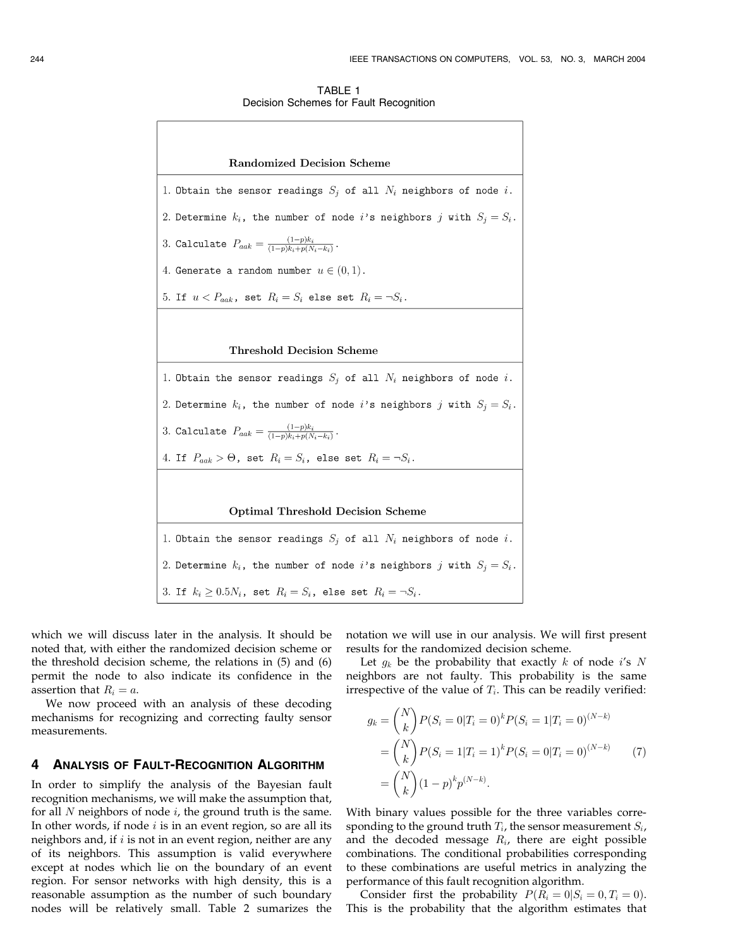TABLE 1 Decision Schemes for Fault Recognition

| Randomized Decision Scheme                                                                |  |
|-------------------------------------------------------------------------------------------|--|
| 1. Obtain the sensor readings $S_j$ of all $N_i$ neighbors of node i.                     |  |
| 2. Determine $k_i$ , the number of node <i>i</i> 's neighbors <i>j</i> with $S_j = S_i$ . |  |
| 3. Calculate $P_{aak} = \frac{(1-p)k_i}{(1-p)k_i + p(N_i - k_i)}$ .                       |  |
| 4. Generate a random number $u \in (0,1)$ .                                               |  |
| 5. If $u < P_{aak}$ , set $R_i = S_i$ else set $R_i = \neg S_i$ .                         |  |
|                                                                                           |  |
| Threshold Decision Scheme                                                                 |  |
| 1. Obtain the sensor readings $S_j$ of all $N_i$ neighbors of node i.                     |  |
| 2. Determine $k_i$ , the number of node i's neighbors j with $S_j = S_i$ .                |  |
| 3. Calculate $P_{aak} = \frac{(1-p)k_i}{(1-p)k_i + p(N_i - k_i)}$ .                       |  |
| 4. If $P_{aak} > \Theta$ , set $R_i = S_i$ , else set $R_i = \neg S_i$ .                  |  |
|                                                                                           |  |
| Optimal Threshold Decision Scheme                                                         |  |
| 1. Obtain the sensor readings $S_j$ of all $N_i$ neighbors of node $i$ .                  |  |
| 2. Determine $k_i$ , the number of node i's neighbors j with $S_j = S_i$ .                |  |
| 3. If $k_i \geq 0.5N_i$ , set $R_i = S_i$ , else set $R_i = \neg S_i$ .                   |  |

which we will discuss later in the analysis. It should be noted that, with either the randomized decision scheme or the threshold decision scheme, the relations in (5) and (6) permit the node to also indicate its confidence in the assertion that  $R_i = a$ .

We now proceed with an analysis of these decoding mechanisms for recognizing and correcting faulty sensor measurements.

# 4 ANALYSIS OF FAULT-RECOGNITION ALGORITHM

In order to simplify the analysis of the Bayesian fault recognition mechanisms, we will make the assumption that, for all  $N$  neighbors of node  $i$ , the ground truth is the same. In other words, if node  $i$  is in an event region, so are all its neighbors and, if  $i$  is not in an event region, neither are any of its neighbors. This assumption is valid everywhere except at nodes which lie on the boundary of an event region. For sensor networks with high density, this is a reasonable assumption as the number of such boundary nodes will be relatively small. Table 2 sumarizes the

notation we will use in our analysis. We will first present results for the randomized decision scheme.

Let  $g_k$  be the probability that exactly k of node i's N neighbors are not faulty. This probability is the same irrespective of the value of  $T_i$ . This can be readily verified:

$$
g_k = {N \choose k} P(S_i = 0 | T_i = 0)^k P(S_i = 1 | T_i = 0)^{(N-k)}
$$
  
=  ${N \choose k} P(S_i = 1 | T_i = 1)^k P(S_i = 0 | T_i = 0)^{(N-k)}$  (7)  
=  ${N \choose k} (1-p)^k p^{(N-k)}.$ 

With binary values possible for the three variables corresponding to the ground truth  $T_i$ , the sensor measurement  $S_i$ , and the decoded message  $R_i$ , there are eight possible combinations. The conditional probabilities corresponding to these combinations are useful metrics in analyzing the performance of this fault recognition algorithm.

Consider first the probability  $P(R_i = 0|S_i = 0, T_i = 0)$ . This is the probability that the algorithm estimates that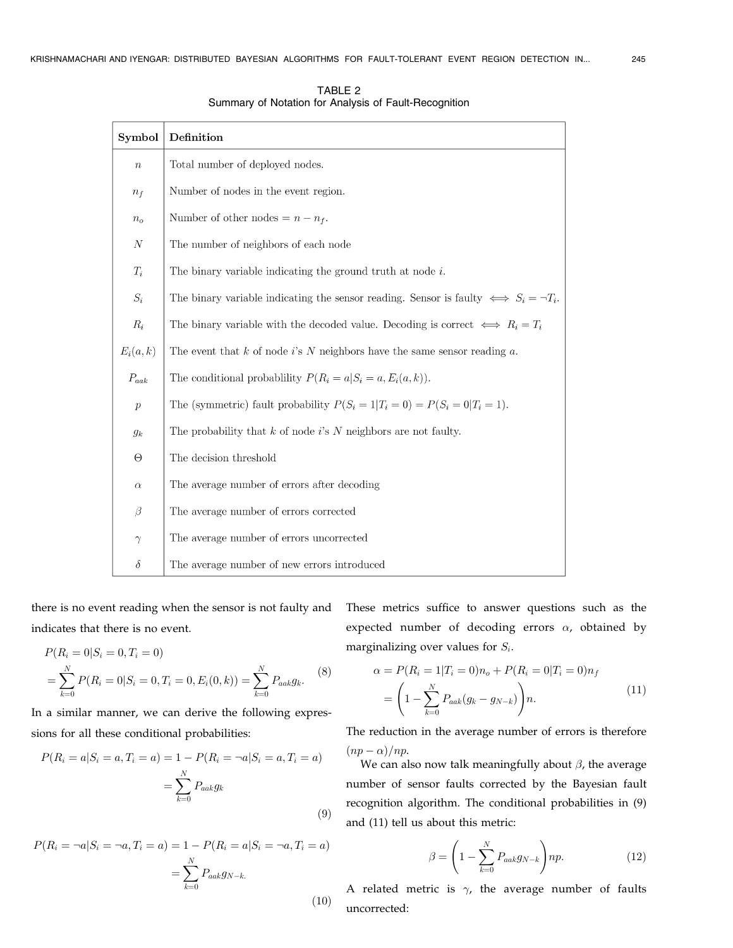| Symbol           | Definition                                                                                  |
|------------------|---------------------------------------------------------------------------------------------|
| $\boldsymbol{n}$ | Total number of deployed nodes.                                                             |
| $n_f$            | Number of nodes in the event region.                                                        |
| $n_{o}$          | Number of other nodes = $n - n_f$ .                                                         |
| $\boldsymbol{N}$ | The number of neighbors of each node                                                        |
| $T_i$            | The binary variable indicating the ground truth at node $i$ .                               |
| $\mathcal{S}_i$  | The binary variable indicating the sensor reading. Sensor is faulty $\iff S_i = \neg T_i$ . |
| $R_i$            | The binary variable with the decoded value. Decoding is correct $\iff R_i = T_i$            |
| $E_i(a,k)$       | The event that $k$ of node $i$ 's $N$ neighbors have the same sensor reading $a$ .          |
| $P_{aak}$        | The conditional probability $P(R_i = a   S_i = a, E_i(a, k)).$                              |
| $\boldsymbol{p}$ | The (symmetric) fault probability $P(S_i = 1   T_i = 0) = P(S_i = 0   T_i = 1)$ .           |
| $g_k$            | The probability that $k$ of node $i$ 's $N$ neighbors are not faulty.                       |
| Θ                | The decision threshold                                                                      |
| $\alpha$         | The average number of errors after decoding                                                 |
| $\beta$          | The average number of errors corrected                                                      |
| $\gamma$         | The average number of errors uncorrected                                                    |
| δ                | The average number of new errors introduced                                                 |

TABLE 2 Summary of Notation for Analysis of Fault-Recognition

there is no event reading when the sensor is not faulty and These metrics suffice to answer questions such as the indicates that there is no event.

$$
P(R_i = 0|S_i = 0, T_i = 0)
$$
  
=  $\sum_{k=0}^{N} P(R_i = 0|S_i = 0, T_i = 0, E_i(0, k)) = \sum_{k=0}^{N} P_{aak}g_k.$  (8)

In a similar manner, we can derive the following expressions for all these conditional probabilities:

$$
P(R_i = a | S_i = a, T_i = a) = 1 - P(R_i = \neg a | S_i = a, T_i = a)
$$

$$
= \sum_{k=0}^{N} P_{aak} g_k
$$
(9)

$$
P(R_i = \neg a | S_i = \neg a, T_i = a) = 1 - P(R_i = a | S_i = \neg a, T_i = a)
$$

$$
= \sum_{k=0}^{N} P_{aak} g_{N-k} \tag{10}
$$

expected number of decoding errors  $\alpha$ , obtained by marginalizing over values for  $S_i$ .

$$
\alpha = P(R_i = 1 | T_i = 0) n_o + P(R_i = 0 | T_i = 0) n_f
$$
  
= 
$$
\left(1 - \sum_{k=0}^{N} P_{aak}(g_k - g_{N-k})\right) n.
$$
 (11)

The reduction in the average number of errors is therefore  $(np-\alpha)/np.$ 

We can also now talk meaningfully about  $\beta$ , the average number of sensor faults corrected by the Bayesian fault recognition algorithm. The conditional probabilities in (9) and (11) tell us about this metric:

$$
\beta = \left(1 - \sum_{k=0}^{N} P_{aak}g_{N-k}\right)np.
$$
\n(12)

A related metric is  $\gamma$ , the average number of faults uncorrected: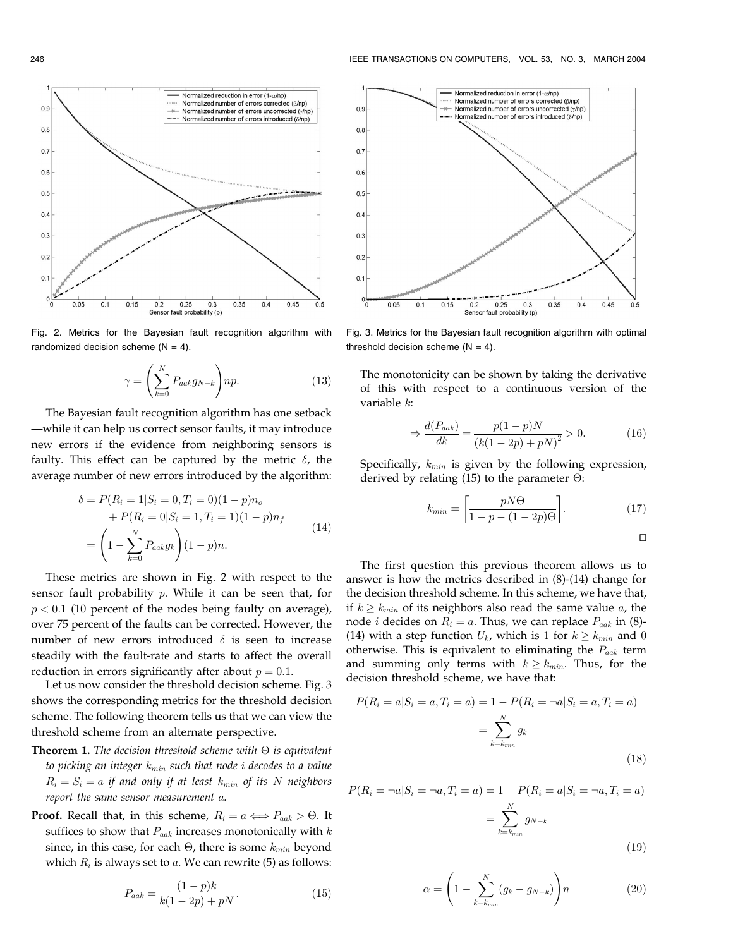

Fig. 2. Metrics for the Bayesian fault recognition algorithm with randomized decision scheme  $(N = 4)$ .

$$
\gamma = \left(\sum_{k=0}^{N} P_{aak}g_{N-k}\right)np.\tag{13}
$$

The Bayesian fault recognition algorithm has one setback —while it can help us correct sensor faults, it may introduce new errors if the evidence from neighboring sensors is faulty. This effect can be captured by the metric  $\delta$ , the average number of new errors introduced by the algorithm:

$$
\delta = P(R_i = 1|S_i = 0, T_i = 0)(1 - p)n_o
$$
  
+ P(R\_i = 0|S\_i = 1, T\_i = 1)(1 - p)n<sub>f</sub>  
= 
$$
\left(1 - \sum_{k=0}^{N} P_{aak} g_k\right)(1 - p)n.
$$
 (14)

These metrics are shown in Fig. 2 with respect to the sensor fault probability  $p$ . While it can be seen that, for  $p < 0.1$  (10 percent of the nodes being faulty on average), over 75 percent of the faults can be corrected. However, the number of new errors introduced  $\delta$  is seen to increase steadily with the fault-rate and starts to affect the overall reduction in errors significantly after about  $p = 0.1$ .

Let us now consider the threshold decision scheme. Fig. 3 shows the corresponding metrics for the threshold decision scheme. The following theorem tells us that we can view the threshold scheme from an alternate perspective.

- **Theorem 1.** The decision threshold scheme with  $\Theta$  is equivalent to picking an integer  $k_{min}$  such that node i decodes to a value  $R_i = S_i = a$  if and only if at least  $k_{min}$  of its N neighbors report the same sensor measurement a.
- **Proof.** Recall that, in this scheme,  $R_i = a \Longleftrightarrow P_{aak} > \Theta$ . It suffices to show that  $P_{aak}$  increases monotonically with  $k$ since, in this case, for each  $\Theta$ , there is some  $k_{min}$  beyond which  $R_i$  is always set to  $a$ . We can rewrite (5) as follows:

$$
P_{aak} = \frac{(1-p)k}{k(1-2p) + pN}.
$$
\n(15)



Fig. 3. Metrics for the Bayesian fault recognition algorithm with optimal threshold decision scheme  $(N = 4)$ .

The monotonicity can be shown by taking the derivative of this with respect to a continuous version of the variable k:

$$
\Rightarrow \frac{d(P_{aak})}{dk} = \frac{p(1-p)N}{(k(1-2p)+pN)^2} > 0.
$$
 (16)

Specifically,  $k_{min}$  is given by the following expression, derived by relating (15) to the parameter  $\Theta$ :

$$
k_{min} = \left[\frac{pN\Theta}{1 - p - (1 - 2p)\Theta}\right].
$$
 (17)

 $\Box$ 

The first question this previous theorem allows us to answer is how the metrics described in (8)-(14) change for the decision threshold scheme. In this scheme, we have that, if  $k \geq k_{min}$  of its neighbors also read the same value a, the node *i* decides on  $R_i = a$ . Thus, we can replace  $P_{aak}$  in (8)-(14) with a step function  $U_k$ , which is 1 for  $k \geq k_{min}$  and 0 otherwise. This is equivalent to eliminating the  $P_{aak}$  term and summing only terms with  $k \geq k_{min}$ . Thus, for the decision threshold scheme, we have that:

$$
P(R_i = a | S_i = a, T_i = a) = 1 - P(R_i = \neg a | S_i = a, T_i = a)
$$

$$
= \sum_{k=k_{min}}^{N} g_k
$$
(18)

$$
P(R_i = \neg a | S_i = \neg a, T_i = a) = 1 - P(R_i = a | S_i = \neg a, T_i = a)
$$

$$
= \sum_{k=k_{min}}^{N} g_{N-k}
$$
(19)

$$
\alpha = \left(1 - \sum_{k=k_{min}}^{N} (g_k - g_{N-k})\right) n \tag{20}
$$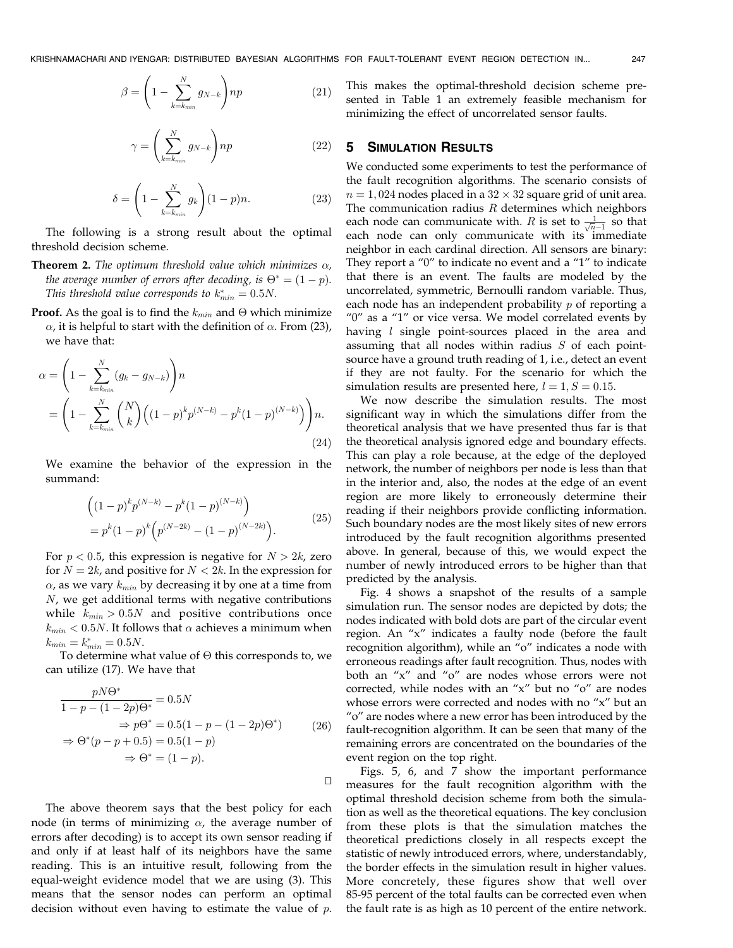$$
\beta = \left(1 - \sum_{k=k_{min}}^{N} g_{N-k}\right) np \tag{21}
$$

$$
\gamma = \left(\sum_{k=k_{min}}^{N} g_{N-k}\right) np \tag{22}
$$

$$
\delta = \left(1 - \sum_{k=k_{min}}^{N} g_k\right) (1 - p)n. \tag{23}
$$

The following is a strong result about the optimal threshold decision scheme.

- **Theorem 2.** The optimum threshold value which minimizes  $\alpha$ , the average number of errors after decoding, is  $\Theta^* = (1 - p)$ . This threshold value corresponds to  $k_{min}^* = 0.5N$ .
- **Proof.** As the goal is to find the  $k_{min}$  and  $\Theta$  which minimize  $\alpha$ , it is helpful to start with the definition of  $\alpha$ . From (23), we have that:

$$
\alpha = \left(1 - \sum_{k=k_{min}}^{N} (g_k - g_{N-k})\right) n
$$
  
= 
$$
\left(1 - \sum_{k=k_{min}}^{N} {N \choose k} \left((1-p)^k p^{(N-k)} - p^k (1-p)^{(N-k)}\right)\right) n.
$$
 (24)

We examine the behavior of the expression in the summand:

$$
\left((1-p)^{k}p^{(N-k)} - p^{k}(1-p)^{(N-k)}\right)
$$
  
=  $p^{k}(1-p)^{k}\left(p^{(N-2k)} - (1-p)^{(N-2k)}\right).$  (25)

For  $p < 0.5$ , this expression is negative for  $N > 2k$ , zero for  $N = 2k$ , and positive for  $N < 2k$ . In the expression for  $\alpha$ , as we vary  $k_{min}$  by decreasing it by one at a time from N, we get additional terms with negative contributions while  $k_{min} > 0.5N$  and positive contributions once  $k_{min} < 0.5N$ . It follows that  $\alpha$  achieves a minimum when  $k_{min} = k_{min}^* = 0.5N.$ 

To determine what value of  $\Theta$  this corresponds to, we can utilize (17). We have that

$$
\frac{pN\Theta^*}{1-p-(1-2p)\Theta^*} = 0.5N
$$
  
\n
$$
\Rightarrow p\Theta^* = 0.5(1-p-(1-2p)\Theta^*)
$$
  
\n
$$
\Rightarrow \Theta^*(p-p+0.5) = 0.5(1-p)
$$
  
\n
$$
\Rightarrow \Theta^* = (1-p).
$$

The above theorem says that the best policy for each node (in terms of minimizing  $\alpha$ , the average number of errors after decoding) is to accept its own sensor reading if and only if at least half of its neighbors have the same reading. This is an intuitive result, following from the equal-weight evidence model that we are using (3). This means that the sensor nodes can perform an optimal decision without even having to estimate the value of  $p$ .

This makes the optimal-threshold decision scheme presented in Table 1 an extremely feasible mechanism for minimizing the effect of uncorrelated sensor faults.

#### 5 SIMULATION RESULTS

We conducted some experiments to test the performance of the fault recognition algorithms. The scenario consists of  $n = 1,024$  nodes placed in a  $32 \times 32$  square grid of unit area. The communication radius  $R$  determines which neighbors each node can communicate with. R is set to  $\frac{1}{\sqrt{n-1}}$  so that each node can only communicate with its immediate neighbor in each cardinal direction. All sensors are binary: They report a "0" to indicate no event and a "1" to indicate that there is an event. The faults are modeled by the uncorrelated, symmetric, Bernoulli random variable. Thus, each node has an independent probability  $p$  of reporting a " $0$ " as a " $1$ " or vice versa. We model correlated events by having *l* single point-sources placed in the area and assuming that all nodes within radius  $S$  of each pointsource have a ground truth reading of 1, i.e., detect an event if they are not faulty. For the scenario for which the simulation results are presented here,  $l = 1, S = 0.15$ .

We now describe the simulation results. The most significant way in which the simulations differ from the theoretical analysis that we have presented thus far is that the theoretical analysis ignored edge and boundary effects. This can play a role because, at the edge of the deployed network, the number of neighbors per node is less than that in the interior and, also, the nodes at the edge of an event region are more likely to erroneously determine their reading if their neighbors provide conflicting information. Such boundary nodes are the most likely sites of new errors introduced by the fault recognition algorithms presented above. In general, because of this, we would expect the number of newly introduced errors to be higher than that predicted by the analysis.

Fig. 4 shows a snapshot of the results of a sample simulation run. The sensor nodes are depicted by dots; the nodes indicated with bold dots are part of the circular event region. An "x" indicates a faulty node (before the fault recognition algorithm), while an "o" indicates a node with erroneous readings after fault recognition. Thus, nodes with both an "x" and "o" are nodes whose errors were not corrected, while nodes with an "x" but no "o" are nodes whose errors were corrected and nodes with no "x" but an "o" are nodes where a new error has been introduced by the fault-recognition algorithm. It can be seen that many of the remaining errors are concentrated on the boundaries of the event region on the top right.

Figs. 5, 6, and 7 show the important performance measures for the fault recognition algorithm with the optimal threshold decision scheme from both the simulation as well as the theoretical equations. The key conclusion from these plots is that the simulation matches the theoretical predictions closely in all respects except the statistic of newly introduced errors, where, understandably, the border effects in the simulation result in higher values. More concretely, these figures show that well over 85-95 percent of the total faults can be corrected even when the fault rate is as high as 10 percent of the entire network.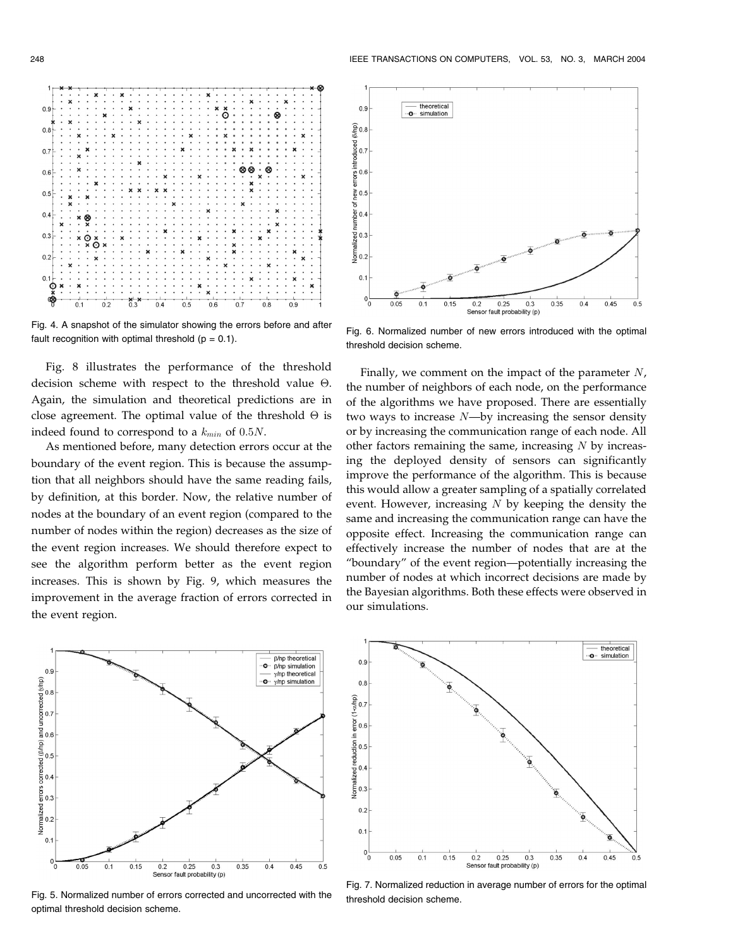Fig. 4. A snapshot of the simulator showing the errors before and after fault recognition with optimal threshold  $(p = 0.1)$ .

Fig. 8 illustrates the performance of the threshold decision scheme with respect to the threshold value  $\Theta$ . Again, the simulation and theoretical predictions are in close agreement. The optimal value of the threshold  $\Theta$  is indeed found to correspond to a  $k_{min}$  of 0.5N.

As mentioned before, many detection errors occur at the boundary of the event region. This is because the assumption that all neighbors should have the same reading fails, by definition, at this border. Now, the relative number of nodes at the boundary of an event region (compared to the number of nodes within the region) decreases as the size of the event region increases. We should therefore expect to see the algorithm perform better as the event region increases. This is shown by Fig. 9, which measures the improvement in the average fraction of errors corrected in the event region.



 $0.5$ 

Finally, we comment on the impact of the parameter  $N$ , the number of neighbors of each node, on the performance of the algorithms we have proposed. There are essentially two ways to increase  $N$ —by increasing the sensor density or by increasing the communication range of each node. All other factors remaining the same, increasing  $N$  by increasing the deployed density of sensors can significantly improve the performance of the algorithm. This is because this would allow a greater sampling of a spatially correlated event. However, increasing  $N$  by keeping the density the same and increasing the communication range can have the opposite effect. Increasing the communication range can effectively increase the number of nodes that are at the "boundary" of the event region—potentially increasing the number of nodes at which incorrect decisions are made by the Bayesian algorithms. Both these effects were observed in our simulations.



Fig. 5. Normalized number of errors corrected and uncorrected with the optimal threshold decision scheme.



Fig. 7. Normalized reduction in average number of errors for the optimal threshold decision scheme.



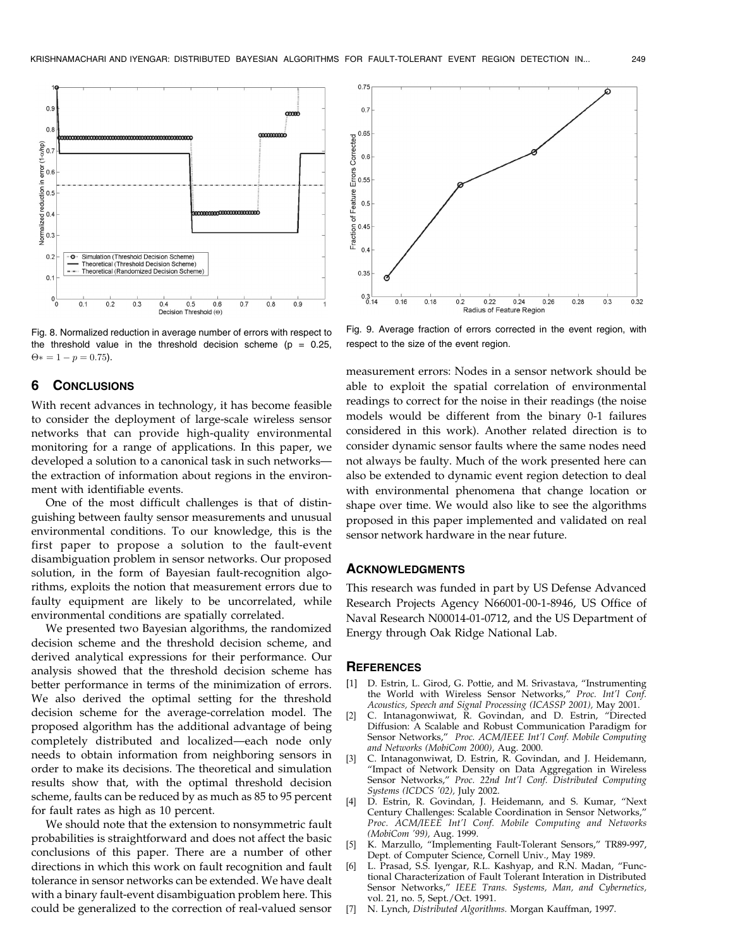

Fig. 8. Normalized reduction in average number of errors with respect to the threshold value in the threshold decision scheme ( $p = 0.25$ ,  $\Theta$ \* = 1 - p = 0.75).

#### 6 CONCLUSIONS

With recent advances in technology, it has become feasible to consider the deployment of large-scale wireless sensor networks that can provide high-quality environmental monitoring for a range of applications. In this paper, we developed a solution to a canonical task in such networks the extraction of information about regions in the environment with identifiable events.

One of the most difficult challenges is that of distinguishing between faulty sensor measurements and unusual environmental conditions. To our knowledge, this is the first paper to propose a solution to the fault-event disambiguation problem in sensor networks. Our proposed solution, in the form of Bayesian fault-recognition algorithms, exploits the notion that measurement errors due to faulty equipment are likely to be uncorrelated, while environmental conditions are spatially correlated.

We presented two Bayesian algorithms, the randomized decision scheme and the threshold decision scheme, and derived analytical expressions for their performance. Our analysis showed that the threshold decision scheme has better performance in terms of the minimization of errors. We also derived the optimal setting for the threshold decision scheme for the average-correlation model. The proposed algorithm has the additional advantage of being completely distributed and localized—each node only needs to obtain information from neighboring sensors in order to make its decisions. The theoretical and simulation results show that, with the optimal threshold decision scheme, faults can be reduced by as much as 85 to 95 percent for fault rates as high as 10 percent.

We should note that the extension to nonsymmetric fault probabilities is straightforward and does not affect the basic conclusions of this paper. There are a number of other directions in which this work on fault recognition and fault tolerance in sensor networks can be extended. We have dealt with a binary fault-event disambiguation problem here. This could be generalized to the correction of real-valued sensor



Fig. 9. Average fraction of errors corrected in the event region, with respect to the size of the event region.

measurement errors: Nodes in a sensor network should be able to exploit the spatial correlation of environmental readings to correct for the noise in their readings (the noise models would be different from the binary 0-1 failures considered in this work). Another related direction is to consider dynamic sensor faults where the same nodes need not always be faulty. Much of the work presented here can also be extended to dynamic event region detection to deal with environmental phenomena that change location or shape over time. We would also like to see the algorithms proposed in this paper implemented and validated on real sensor network hardware in the near future.

#### ACKNOWLEDGMENTS

This research was funded in part by US Defense Advanced Research Projects Agency N66001-00-1-8946, US Office of Naval Research N00014-01-0712, and the US Department of Energy through Oak Ridge National Lab.

#### **REFERENCES**

- [1] D. Estrin, L. Girod, G. Pottie, and M. Srivastava, "Instrumenting the World with Wireless Sensor Networks," Proc. Int'l Conf. Acoustics, Speech and Signal Processing (ICASSP 2001), May 2001.
- [2] C. Intanagonwiwat, R. Govindan, and D. Estrin, "Directed Diffusion: A Scalable and Robust Communication Paradigm for Sensor Networks," Proc. ACM/IEEE Int'l Conf. Mobile Computing and Networks (MobiCom 2000), Aug. 2000.
- [3] C. Intanagonwiwat, D. Estrin, R. Govindan, and J. Heidemann, "Impact of Network Density on Data Aggregation in Wireless Sensor Networks," Proc. 22nd Int'l Conf. Distributed Computing Systems (ICDCS '02), July 2002.
- D. Estrin, R. Govindan, J. Heidemann, and S. Kumar, "Next Century Challenges: Scalable Coordination in Sensor Networks," Proc. ACM/IEEE Int'l Conf. Mobile Computing and Networks (MobiCom '99), Aug. 1999.
- [5] K. Marzullo, "Implementing Fault-Tolerant Sensors," TR89-997, Dept. of Computer Science, Cornell Univ., May 1989.
- [6] L. Prasad, S.S. Iyengar, R.L. Kashyap, and R.N. Madan, "Functional Characterization of Fault Tolerant Interation in Distributed Sensor Networks," IEEE Trans. Systems, Man, and Cybernetics, vol. 21, no. 5, Sept./Oct. 1991.
- [7] N. Lynch, Distributed Algorithms. Morgan Kauffman, 1997.